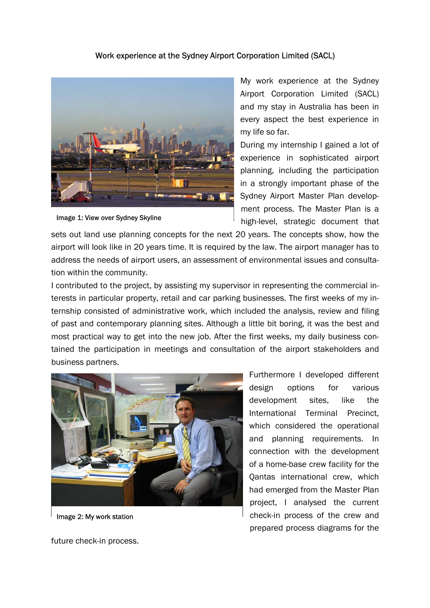## Work experience at the Sydney Airport Corporation Limited (SACL)



Image 1: View over Sydney Skyline

My work experience at the Sydney Airport Corporation Limited (SACL) and my stay in Australia has been in every aspect the best experience in my life so far.

During my internship I gained a lot of experience in sophisticated airport planning, including the participation in a strongly important phase of the Sydney Airport Master Plan development process. The Master Plan is a high-level, strategic document that

sets out land use planning concepts for the next 20 years. The concepts show, how the airport will look like in 20 years time. It is required by the law. The airport manager has to address the needs of airport users, an assessment of environmental issues and consultation within the community.

I contributed to the project, by assisting my supervisor in representing the commercial interests in particular property, retail and car parking businesses. The first weeks of my internship consisted of administrative work, which included the analysis, review and filing of past and contemporary planning sites. Although a little bit boring, it was the best and most practical way to get into the new job. After the first weeks, my daily business contained the participation in meetings and consultation of the airport stakeholders and business partners.



Image 2: My work station

Furthermore I developed different design options for various development sites, like the International Terminal Precinct, which considered the operational and planning requirements. In connection with the development of a home-base crew facility for the Qantas international crew, which had emerged from the Master Plan project, I analysed the current check-in process of the crew and prepared process diagrams for the

future check-in process.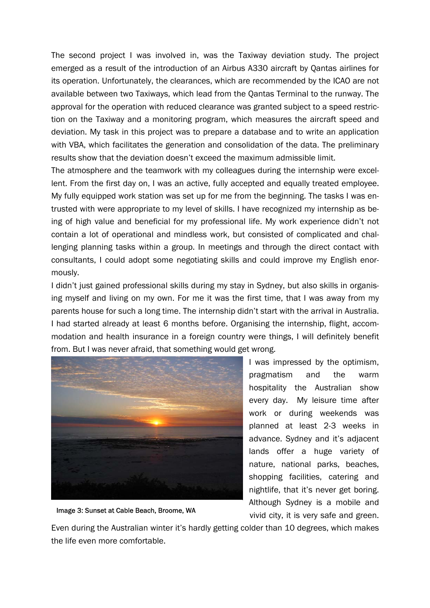The second project I was involved in, was the Taxiway deviation study. The project emerged as a result of the introduction of an Airbus A330 aircraft by Qantas airlines for its operation. Unfortunately, the clearances, which are recommended by the ICAO are not available between two Taxiways, which lead from the Qantas Terminal to the runway. The approval for the operation with reduced clearance was granted subject to a speed restriction on the Taxiway and a monitoring program, which measures the aircraft speed and deviation. My task in this project was to prepare a database and to write an application with VBA, which facilitates the generation and consolidation of the data. The preliminary results show that the deviation doesn't exceed the maximum admissible limit.

The atmosphere and the teamwork with my colleagues during the internship were excellent. From the first day on, I was an active, fully accepted and equally treated employee. My fully equipped work station was set up for me from the beginning. The tasks I was entrusted with were appropriate to my level of skills. I have recognized my internship as being of high value and beneficial for my professional life. My work experience didn't not contain a lot of operational and mindless work, but consisted of complicated and challenging planning tasks within a group. In meetings and through the direct contact with consultants, I could adopt some negotiating skills and could improve my English enormously.

I didn't just gained professional skills during my stay in Sydney, but also skills in organising myself and living on my own. For me it was the first time, that I was away from my parents house for such a long time. The internship didn't start with the arrival in Australia. I had started already at least 6 months before. Organising the internship, flight, accommodation and health insurance in a foreign country were things, I will definitely benefit from. But I was never afraid, that something would get wrong.



Image 3: Sunset at Cable Beach, Broome, WA

I was impressed by the optimism, pragmatism and the warm hospitality the Australian show every day. My leisure time after work or during weekends was planned at least 2-3 weeks in advance. Sydney and it's adjacent lands offer a huge variety of nature, national parks, beaches, shopping facilities, catering and nightlife, that it's never get boring. Although Sydney is a mobile and vivid city, it is very safe and green.

Even during the Australian winter it's hardly getting colder than 10 degrees, which makes the life even more comfortable.